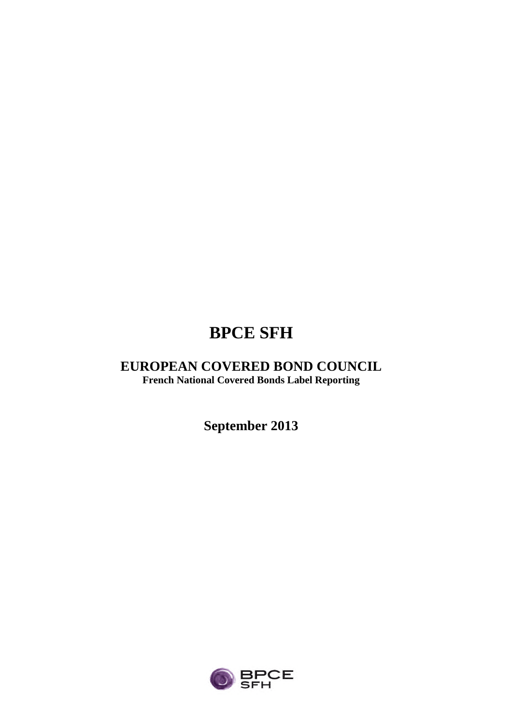# **BPCE SFH**

## **EUROPEAN COVERED BOND COUNCIL French National Covered Bonds Label Reporting**

**September 2013**

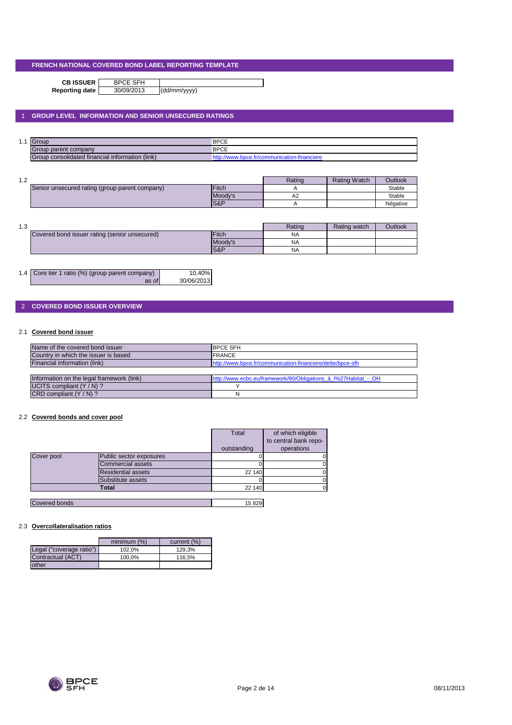**CB ISSUER** BPCE SFH<br>porting date 30/09/2013

**Reporting date** 30/09/2013 (dd/mm/yyyy)

### 1 **GROUP LEVEL INFORMATION AND SENIOR UNSECURED RATINGS**

| . .<br>. | $\sqrt{ }$<br><b>UIUU</b>                      | <b>BPCE</b>                  |
|----------|------------------------------------------------|------------------------------|
|          | iroup parent company                           | <b>BPCE</b>                  |
|          | roup consolidated financial information (link) | <b>-Tinanciere</b><br>нканог |

| 1 ^<br>ے. ا |                                                |               | Ratino         | <b>Rating Watch</b> | <b>Outlook</b> |
|-------------|------------------------------------------------|---------------|----------------|---------------------|----------------|
|             | Senior unsecured rating (group parent company) | <b>IFitch</b> |                |                     | Stable         |
|             |                                                | Moody's       | A <sub>2</sub> |                     | Stable         |
|             |                                                | IS&P          |                |                     | Négative       |

| 10<br>ن. ا |                                               |                 | Rating    | Rating watch | <b>Outlook</b> |
|------------|-----------------------------------------------|-----------------|-----------|--------------|----------------|
|            | Covered bond issuer rating (senior unsecured) | <b>Fitch</b>    | <b>NA</b> |              |                |
|            |                                               | Moody's         | <b>NA</b> |              |                |
|            |                                               | <b>IS&amp;P</b> | <b>NA</b> |              |                |

| 1.4 Core tier 1 ratio (%) (group parent company) | 10,40%     |
|--------------------------------------------------|------------|
| as of                                            | 30/06/2013 |

### 2 **COVERED BOND ISSUER OVERVIEW**

### 2.1 **Covered bond issuer**

| Name of the covered bond issuer           | <b>IBPCE SFH</b>                                               |
|-------------------------------------------|----------------------------------------------------------------|
| Country in which the issuer is based      | <b>IFRANCE</b>                                                 |
| Financial information (link)              | http://www.bpce.fr/communication-financiere/dette/bpce-sfh     |
|                                           |                                                                |
| Information on the legal framework (link) | http://www.ecbc.eu/framework/90/Obligations à l%27Habitat - OH |
| UCITS compliant $(Y/N)$ ?                 |                                                                |
| $CRD$ compliant $(Y/N)$ ?                 | N                                                              |

#### 2.2 **Covered bonds and cover pool**

|               |                           | Total       | of which eligible     |
|---------------|---------------------------|-------------|-----------------------|
|               |                           |             | to central bank repo- |
|               |                           | outstanding | operations            |
| Cover pool    | Public sector exposures   |             |                       |
|               | Commercial assets         |             |                       |
|               | <b>Residential assets</b> | 22 140      |                       |
|               | Substitute assets         |             |                       |
|               | Total                     | 22 140      |                       |
|               |                           |             |                       |
| Covered bonds |                           | 15829       |                       |

#### 2.3 **Overcollateralisation ratios**

|                          | minimum (%) | current (%) |
|--------------------------|-------------|-------------|
| Legal ("coverage ratio") | 102.0%      | 129.3%      |
| Contractual (ACT)        | 100.0%      | 116.5%      |
| other                    |             |             |

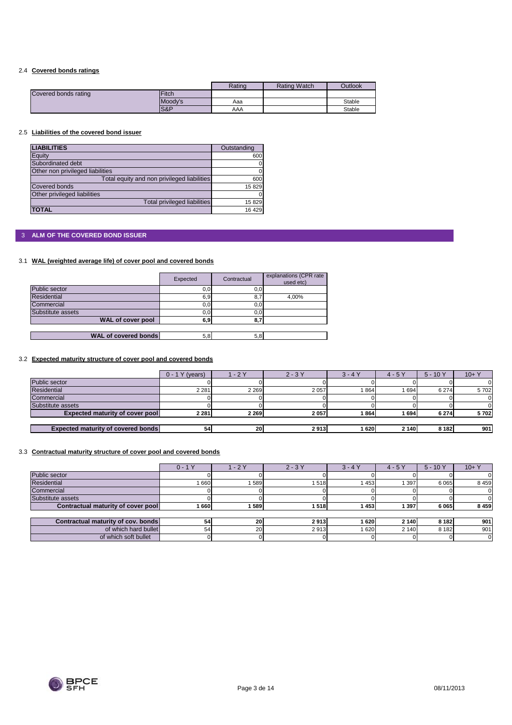### 2.4 **Covered bonds ratings**

|                      |         | Rating | <b>Rating Watch</b> | Outlook |
|----------------------|---------|--------|---------------------|---------|
| Covered bonds rating | Fitch   |        |                     |         |
|                      | Moody's | Aaa    |                     | Stable  |
|                      | S&P     | AAA    |                     | Stable  |

#### 2.5 **Liabilities of the covered bond issuer**

| <b>LIABILITIES</b>                          | Outstanding |
|---------------------------------------------|-------------|
| Equity                                      | 600         |
| Subordinated debt                           |             |
| Other non privileged liabilities            |             |
| Total equity and non privileged liabilities | 600         |
| Covered bonds                               | 15829       |
| Other privileged liabilities                |             |
| <b>Total privileged liabilities</b>         | 15829       |
| <b>TOTAL</b>                                | 16 4 29     |

### 3 **ALM OF THE COVERED BOND ISSUER**

### 3.1 **WAL (weighted average life) of cover pool and covered bonds**

|                             | Expected | Contractual | explanations (CPR rate<br>used etc) |
|-----------------------------|----------|-------------|-------------------------------------|
| Public sector               | 0, 0     | 0,0         |                                     |
| <b>Residential</b>          | 6,9      | 8,7         | 4,00%                               |
| Commercial                  | 0,0      | 0,0         |                                     |
| Substitute assets           | 0,0      | 0,0         |                                     |
| WAL of cover pool           | 6,9      | 8,          |                                     |
|                             |          |             |                                     |
| <b>WAL of covered bonds</b> | 5,8      | 5,8         |                                     |

### 3.2 **Expected maturity structure of cover pool and covered bonds**

|                                           | $0 - 1Y$<br>(years) | $-2Y$   | $2 - 3Y$ | $3 - 4Y$ | $4 - 5Y$ | $5 - 10Y$ | $10+Y$ |
|-------------------------------------------|---------------------|---------|----------|----------|----------|-----------|--------|
| Public sector                             |                     |         |          |          |          |           |        |
| <b>Residential</b>                        | 2 2 8 1             | 2 2 6 9 | 2 0 5 7  | 864      | 1694     | 6 2 7 4   | 5702   |
| Commercial                                |                     |         |          |          |          |           |        |
| Substitute assets                         |                     |         |          |          |          |           |        |
| <b>Expected maturity of cover pool</b>    | 2 2 8 1             | 2 2 6 9 | 2057     | 864      | 1 694    | 6 2 7 4   | 5702   |
|                                           |                     |         |          |          |          |           |        |
| <b>Expected maturity of covered bonds</b> | 54 <sub>1</sub>     | 20      | 2913     | 620      | 2 140    | 8 1 8 2   | 901    |

#### 3.3 **Contractual maturity structure of cover pool and covered bonds**

|                                    | $0 - 1Y$ | $-2Y$     | $2 - 3Y$ | $3 - 4Y$ | $4 - 5Y$ | $5 - 10Y$ | $10 + Y$ |
|------------------------------------|----------|-----------|----------|----------|----------|-----------|----------|
| Public sector                      |          |           |          |          |          |           |          |
| <b>Residential</b>                 | 660      | 589       | 1518     | 453      | 397      | 6 0 6 5   | 8459     |
| Commercial                         |          |           |          |          |          |           |          |
| Substitute assets                  |          |           |          |          |          |           |          |
| Contractual maturity of cover pool | 1 660 I  | 589       | 1518     | 453      | 397      | 6 0 6 5   | 8 4 5 9  |
|                                    |          |           |          |          |          |           |          |
| Contractual maturity of cov. bonds | 54       | 20        | 2913     | 620      | 2 140    | 8 1 8 2   | 901      |
| of which hard bullet               | 54       | <b>20</b> | 2913     | 620      | 2 140    | 8 1 8 2   | 901      |
| of which soft bullet               |          |           |          |          |          |           |          |



 $\overline{\phantom{a}}$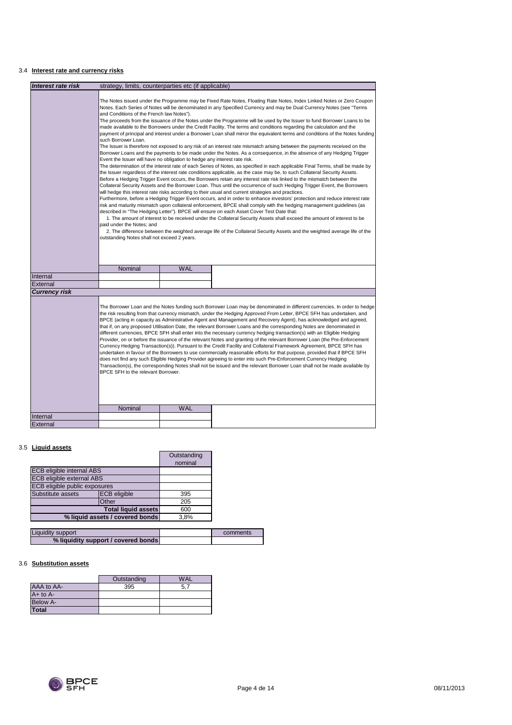### 3.4 **Interest rate and currency risks**

|                      | <b>Interest rate risk</b><br>strategy, limits, counterparties etc (if applicable)                                                                                                                                                                                                                                                                                                                                                                                                                                                                                                                                                                                                                                                                                                                                                                                                                                                                                                                                                                                                                                                                                                                                                                                                                                                                                                                                                                                                                                                                                                                                                                                                                                                                                                                                                                                                                                                                                                                                                                                                                                                                                                                                                                                                                                                                      |            |                                                                                                                                                                                                                                                                                                                                                                                                                                                                                                                                                                                                                                                                                                                                                       |  |
|----------------------|--------------------------------------------------------------------------------------------------------------------------------------------------------------------------------------------------------------------------------------------------------------------------------------------------------------------------------------------------------------------------------------------------------------------------------------------------------------------------------------------------------------------------------------------------------------------------------------------------------------------------------------------------------------------------------------------------------------------------------------------------------------------------------------------------------------------------------------------------------------------------------------------------------------------------------------------------------------------------------------------------------------------------------------------------------------------------------------------------------------------------------------------------------------------------------------------------------------------------------------------------------------------------------------------------------------------------------------------------------------------------------------------------------------------------------------------------------------------------------------------------------------------------------------------------------------------------------------------------------------------------------------------------------------------------------------------------------------------------------------------------------------------------------------------------------------------------------------------------------------------------------------------------------------------------------------------------------------------------------------------------------------------------------------------------------------------------------------------------------------------------------------------------------------------------------------------------------------------------------------------------------------------------------------------------------------------------------------------------------|------------|-------------------------------------------------------------------------------------------------------------------------------------------------------------------------------------------------------------------------------------------------------------------------------------------------------------------------------------------------------------------------------------------------------------------------------------------------------------------------------------------------------------------------------------------------------------------------------------------------------------------------------------------------------------------------------------------------------------------------------------------------------|--|
|                      |                                                                                                                                                                                                                                                                                                                                                                                                                                                                                                                                                                                                                                                                                                                                                                                                                                                                                                                                                                                                                                                                                                                                                                                                                                                                                                                                                                                                                                                                                                                                                                                                                                                                                                                                                                                                                                                                                                                                                                                                                                                                                                                                                                                                                                                                                                                                                        |            |                                                                                                                                                                                                                                                                                                                                                                                                                                                                                                                                                                                                                                                                                                                                                       |  |
|                      | The Notes issued under the Programme may be Fixed Rate Notes, Floating Rate Notes, Index Linked Notes or Zero Coupon<br>Notes. Each Series of Notes will be denominated in any Specified Currency and may be Dual Currency Notes (see "Terms<br>and Conditions of the French law Notes").<br>The proceeds from the issuance of the Notes under the Programme will be used by the Issuer to fund Borrower Loans to be<br>made available to the Borrowers under the Credit Facility. The terms and conditions regarding the calculation and the<br>payment of principal and interest under a Borrower Loan shall mirror the equivalent terms and conditions of the Notes funding<br>such Borrower Loan.<br>The Issuer is therefore not exposed to any risk of an interest rate mismatch arising between the payments received on the<br>Borrower Loans and the payments to be made under the Notes. As a consequence, in the absence of any Hedging Trigger<br>Event the Issuer will have no obligation to hedge any interest rate risk.<br>The determination of the interest rate of each Series of Notes, as specified in each applicable Final Terms, shall be made by<br>the Issuer regardless of the interest rate conditions applicable, as the case may be, to such Collateral Security Assets.<br>Before a Hedging Trigger Event occurs, the Borrowers retain any interest rate risk linked to the mismatch between the<br>Collateral Security Assets and the Borrower Loan. Thus until the occurrence of such Hedging Trigger Event, the Borrowers<br>will hedge this interest rate risks according to their usual and current strategies and practices.<br>Furthermore, before a Hedging Trigger Event occurs, and in order to enhance investors' protection and reduce interest rate<br>risk and maturity mismatch upon collateral enforcement, BPCE shall comply with the hedging management guidelines (as<br>described in "The Hedging Letter"). BPCE will ensure on each Asset Cover Test Date that:<br>1. The amount of interest to be received under the Collateral Security Assets shall exceed the amount of interest to be<br>paid under the Notes: and<br>2. The difference between the weighted average life of the Collateral Security Assets and the weighted average life of the<br>outstanding Notes shall not exceed 2 years. |            |                                                                                                                                                                                                                                                                                                                                                                                                                                                                                                                                                                                                                                                                                                                                                       |  |
|                      | Nominal                                                                                                                                                                                                                                                                                                                                                                                                                                                                                                                                                                                                                                                                                                                                                                                                                                                                                                                                                                                                                                                                                                                                                                                                                                                                                                                                                                                                                                                                                                                                                                                                                                                                                                                                                                                                                                                                                                                                                                                                                                                                                                                                                                                                                                                                                                                                                | <b>WAL</b> |                                                                                                                                                                                                                                                                                                                                                                                                                                                                                                                                                                                                                                                                                                                                                       |  |
| Internal             |                                                                                                                                                                                                                                                                                                                                                                                                                                                                                                                                                                                                                                                                                                                                                                                                                                                                                                                                                                                                                                                                                                                                                                                                                                                                                                                                                                                                                                                                                                                                                                                                                                                                                                                                                                                                                                                                                                                                                                                                                                                                                                                                                                                                                                                                                                                                                        |            |                                                                                                                                                                                                                                                                                                                                                                                                                                                                                                                                                                                                                                                                                                                                                       |  |
| External             |                                                                                                                                                                                                                                                                                                                                                                                                                                                                                                                                                                                                                                                                                                                                                                                                                                                                                                                                                                                                                                                                                                                                                                                                                                                                                                                                                                                                                                                                                                                                                                                                                                                                                                                                                                                                                                                                                                                                                                                                                                                                                                                                                                                                                                                                                                                                                        |            |                                                                                                                                                                                                                                                                                                                                                                                                                                                                                                                                                                                                                                                                                                                                                       |  |
| <b>Currency risk</b> |                                                                                                                                                                                                                                                                                                                                                                                                                                                                                                                                                                                                                                                                                                                                                                                                                                                                                                                                                                                                                                                                                                                                                                                                                                                                                                                                                                                                                                                                                                                                                                                                                                                                                                                                                                                                                                                                                                                                                                                                                                                                                                                                                                                                                                                                                                                                                        |            |                                                                                                                                                                                                                                                                                                                                                                                                                                                                                                                                                                                                                                                                                                                                                       |  |
|                      |                                                                                                                                                                                                                                                                                                                                                                                                                                                                                                                                                                                                                                                                                                                                                                                                                                                                                                                                                                                                                                                                                                                                                                                                                                                                                                                                                                                                                                                                                                                                                                                                                                                                                                                                                                                                                                                                                                                                                                                                                                                                                                                                                                                                                                                                                                                                                        |            | The Borrower Loan and the Notes funding such Borrower Loan may be denominated in different currencies. In order to hedge<br>the risk resulting from that currency mismatch, under the Hedging Approved From Letter, BPCE SFH has undertaken, and<br>BPCE (acting in capacity as Administrative Agent and Management and Recovery Agent), has acknowledged and agreed,<br>that if, on any proposed Utilisation Date, the relevant Borrower Loans and the corresponding Notes are denominated in<br>different currencies, BPCE SFH shall enter into the necessary currency hedging transaction(s) with an Eligible Hedging<br>Provider, on or before the issuance of the relevant Notes and granting of the relevant Borrower Loan (the Pre-Enforcement |  |
|                      | BPCE SFH to the relevant Borrower.                                                                                                                                                                                                                                                                                                                                                                                                                                                                                                                                                                                                                                                                                                                                                                                                                                                                                                                                                                                                                                                                                                                                                                                                                                                                                                                                                                                                                                                                                                                                                                                                                                                                                                                                                                                                                                                                                                                                                                                                                                                                                                                                                                                                                                                                                                                     |            | Currency Hedging Transaction(s)). Pursuant to the Credit Facility and Collateral Framework Agreement, BPCE SFH has<br>undertaken in favour of the Borrowers to use commercially reasonable efforts for that purpose, provided that if BPCE SFH<br>does not find any such Eligible Hedging Provider agreeing to enter into such Pre-Enforcement Currency Hedging<br>Transaction(s), the corresponding Notes shall not be issued and the relevant Borrower Loan shall not be made available by                                                                                                                                                                                                                                                          |  |
| Internal             | Nominal                                                                                                                                                                                                                                                                                                                                                                                                                                                                                                                                                                                                                                                                                                                                                                                                                                                                                                                                                                                                                                                                                                                                                                                                                                                                                                                                                                                                                                                                                                                                                                                                                                                                                                                                                                                                                                                                                                                                                                                                                                                                                                                                                                                                                                                                                                                                                | <b>WAL</b> |                                                                                                                                                                                                                                                                                                                                                                                                                                                                                                                                                                                                                                                                                                                                                       |  |

### 3.5 **Liquid assets**

|                                  |                     | Outstanding<br>nominal |  |
|----------------------------------|---------------------|------------------------|--|
| <b>ECB eligible internal ABS</b> |                     |                        |  |
| <b>ECB eligible external ABS</b> |                     |                        |  |
| ECB eligible public exposures    |                     |                        |  |
| Substitute assets                | <b>ECB</b> eligible | 395                    |  |
|                                  | Other               | 205                    |  |
| <b>Total liquid assets</b>       |                     | 600                    |  |
| % liquid assets / covered bonds  |                     | 3,8%                   |  |

| <b>Liquidity support</b>            | comments |
|-------------------------------------|----------|
| % liquidity support / covered bonds |          |

### 3.6 **Substitution assets**

|              | Outstanding | <b>WAL</b> |
|--------------|-------------|------------|
| AAA to AA-   | 395         | 5.7        |
| $A+$ to $A-$ |             |            |
| Below A-     |             |            |
| <b>Total</b> |             |            |

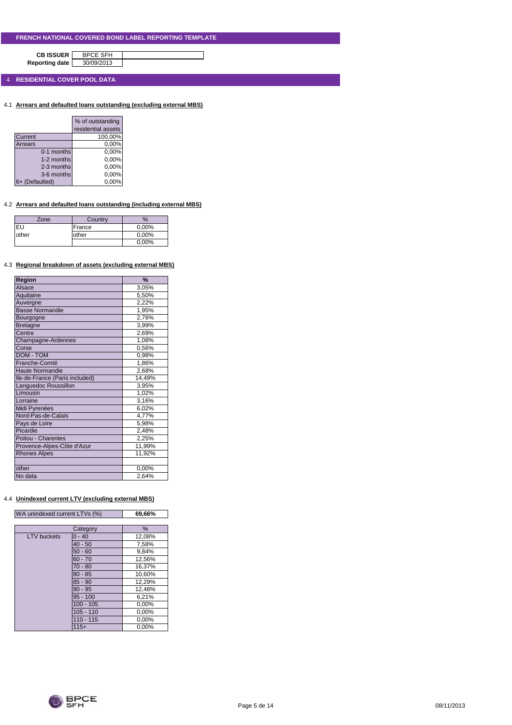**CB ISSUER** BPCE SFH<br>porting date 30/09/2013 **Reporting date** 

4 **RESIDENTIAL COVER POOL DATA**

4.1 **Arrears and defaulted loans outstanding (excluding external MBS)**

|             | % of outstanding<br>residential assets |
|-------------|----------------------------------------|
| Current     | 100,00%                                |
|             |                                        |
| Arrears     | 0,00%                                  |
| 0-1 months  | 0,00%                                  |
| 1-2 months  | 0,00%                                  |
| 2-3 months  | 0,00%                                  |
| 3-6 months  | 0,00%                                  |
| (Defaulted) | 0.00%                                  |

### 4.2 **Arrears and defaulted loans outstanding (including external MBS)**

| Zone  | Country | $\frac{9}{6}$ |
|-------|---------|---------------|
| EU    | France  | 0,00%         |
| other | other   | 0,00%         |
|       |         | 0,00%         |

#### 4.3 **Regional breakdown of assets (excluding external MBS)**

| Region                         | $\frac{9}{6}$ |
|--------------------------------|---------------|
| Alsace                         | 3,05%         |
| Aquitaine                      | 5,50%         |
| Auvergne                       | 2,22%         |
| <b>Basse Normandie</b>         | 1,95%         |
| Bourgogne                      | 2,76%         |
| <b>Bretagne</b>                | 3,99%         |
| Centre                         | 2,69%         |
| Champagne-Ardennes             | 1,08%         |
| Corse                          | 0,56%         |
| DOM - TOM                      | 0.98%         |
| Franche-Comté                  | 1,86%         |
| <b>Haute Normandie</b>         | 2,68%         |
| Ile-de-France (Paris included) | 14,49%        |
| Languedoc Roussillon           | 3,95%         |
| Limousin                       | 1,02%         |
| Lorraine                       | 3,16%         |
| Midi Pyrenées                  | 6,02%         |
| Nord-Pas-de-Calais             | 4,77%         |
| Pays de Loire                  | 5,98%         |
| Picardie                       | 2,48%         |
| Poitou - Charentes             | 2,25%         |
| Provence-Alpes-Côte d'Azur     | 11,99%        |
| <b>Rhones Alpes</b>            | 11,92%        |
|                                |               |
| other                          | 0,00%         |
| No data                        | 2,64%         |

### 4.4 **Unindexed current LTV (excluding external MBS)**

| WA unindexed current LTVs (%) | 69,66% |
|-------------------------------|--------|

|                    | Category    | %      |
|--------------------|-------------|--------|
| <b>LTV</b> buckets | $0 - 40$    | 12,08% |
|                    | $40 - 50$   | 7,58%  |
|                    | $50 - 60$   | 9,84%  |
|                    | $60 - 70$   | 12,56% |
|                    | $70 - 80$   | 16,37% |
|                    | $80 - 85$   | 10,60% |
|                    | $85 - 90$   | 12,29% |
|                    | $90 - 95$   | 12,48% |
|                    | $95 - 100$  | 6,21%  |
|                    | $100 - 105$ | 0,00%  |
|                    | $105 - 110$ | 0,00%  |
|                    | $110 - 115$ | 0,00%  |
|                    | $115+$      | 0,00%  |

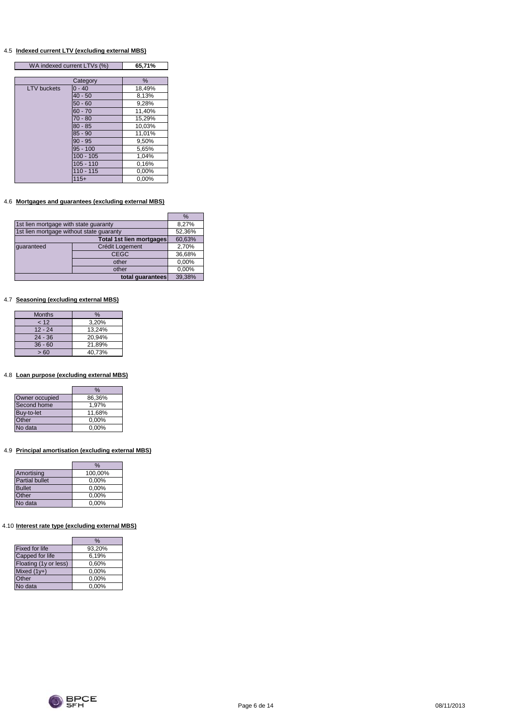#### 4.5 **Indexed current LTV (excluding external MBS)**

 $\overline{\phantom{a}}$ 

|                    | WA indexed current LTVs (%) |        |
|--------------------|-----------------------------|--------|
|                    |                             |        |
|                    | Category                    | %      |
| <b>LTV</b> buckets | $0 - 40$                    | 18,49% |
|                    | $40 - 50$                   | 8,13%  |
|                    | $50 - 60$                   | 9,28%  |
|                    | $60 - 70$                   | 11,40% |
|                    | $70 - 80$                   | 15,29% |
|                    | $80 - 85$                   | 10,03% |
|                    | $85 - 90$                   | 11,01% |
|                    | $90 - 95$                   | 9,50%  |
|                    | $95 - 100$                  | 5,65%  |
|                    | $100 - 105$                 | 1,04%  |
|                    | $105 - 110$                 | 0.16%  |
|                    | $110 - 115$                 | 0,00%  |
|                    | $115+$                      | 0.00%  |

### 4.6 **Mortgages and guarantees (excluding external MBS)**

|                                          |                 | $\%$   |
|------------------------------------------|-----------------|--------|
| 1st lien mortgage with state guaranty    |                 | 8.27%  |
| 1st lien mortgage without state guaranty |                 | 52,36% |
| <b>Total 1st lien mortgages</b>          |                 | 60,63% |
| quaranteed                               | Crédit Logement | 2,70%  |
|                                          | <b>CEGC</b>     | 36,68% |
|                                          | other           | 0,00%  |
|                                          | other           | 0,00%  |
| total quarantees                         |                 | 39,38% |

#### 4.7 **Seasoning (excluding external MBS)**

| <b>Months</b> | $\%$   |
|---------------|--------|
| 12            | 3,20%  |
| $12 - 24$     | 13.24% |
| $24 - 36$     | 20.94% |
| $36 - 60$     | 21,89% |
| >60           | 40.73% |

#### 4.8 **Loan purpose (excluding external MBS)**

|                | %        |
|----------------|----------|
| Owner occupied | 86,36%   |
| Second home    | 1.97%    |
| Buy-to-let     | 11,68%   |
| Other          | 0,00%    |
| No data        | $0.00\%$ |

### 4.9 **Principal amortisation (excluding external MBS)**

|                       | $\%$     |
|-----------------------|----------|
| Amortising            | 100,00%  |
| <b>Partial bullet</b> | 0,00%    |
| <b>Bullet</b>         | 0,00%    |
| Other                 | 0,00%    |
| No data               | $0.00\%$ |

### 4.10 **Interest rate type (excluding external MBS)**

|                       | $\%$   |
|-----------------------|--------|
| <b>Fixed for life</b> | 93,20% |
| Capped for life       | 6,19%  |
| Floating (1y or less) | 0.60%  |
| Mixed $(1y+)$         | 0,00%  |
| Other                 | 0,00%  |
| No data               | 0,00%  |

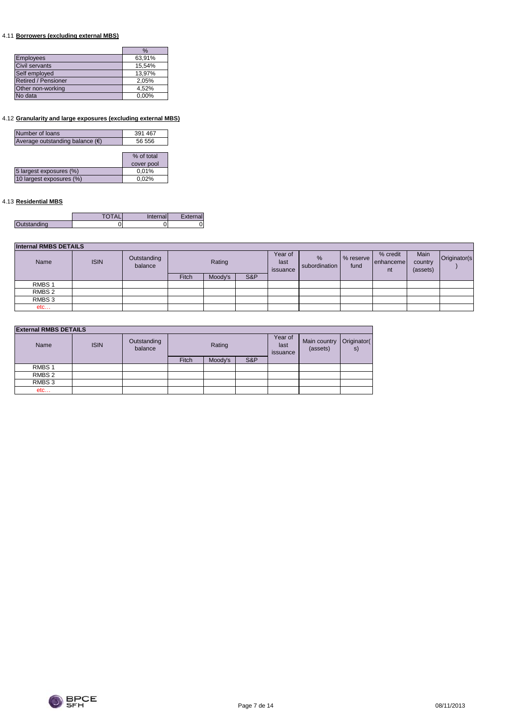### 4.11 **Borrowers (excluding external MBS)**

|                            | %      |
|----------------------------|--------|
| <b>Employees</b>           | 63,91% |
| Civil servants             | 15,54% |
| Self employed              | 13,97% |
| <b>Retired / Pensioner</b> | 2,05%  |
| Other non-working          | 4,52%  |
| No data                    | 0.00%  |

### 4.12 **Granularity and large exposures (excluding external MBS)**

| Number of loans                 | 391 467    |
|---------------------------------|------------|
| Average outstanding balance (€) | 56 556     |
|                                 |            |
|                                 | % of total |
|                                 | cover pool |
| 5 largest exposures (%)         | 0,01%      |
| 10 largest exposures (%)        | 0,02%      |
|                                 |            |

### 4.13 **Residential MBS**

|       | Inter<br>าall | nall |
|-------|---------------|------|
| nding | ບ             | .    |

| <b>Internal RMBS DETAILS</b> |             |                        |        |         |                             |                                |                   |                             |                             |              |  |
|------------------------------|-------------|------------------------|--------|---------|-----------------------------|--------------------------------|-------------------|-----------------------------|-----------------------------|--------------|--|
| Name                         | <b>ISIN</b> | Outstanding<br>balance | Rating |         | Year of<br>last<br>issuance | $\frac{9}{6}$<br>subordination | % reserve<br>fund | % credit<br>enhanceme<br>nt | Main<br>country<br>(assets) | Originator(s |  |
|                              |             |                        | Fitch  | Moody's | S&P                         |                                |                   |                             |                             |              |  |
| RMBS <sub>1</sub>            |             |                        |        |         |                             |                                |                   |                             |                             |              |  |
| RMBS <sub>2</sub>            |             |                        |        |         |                             |                                |                   |                             |                             |              |  |
| RMBS <sub>3</sub>            |             |                        |        |         |                             |                                |                   |                             |                             |              |  |
| etc                          |             |                        |        |         |                             |                                |                   |                             |                             |              |  |

### **External RMBS DETAILS**

| Name              | <b>ISIN</b> | Outstanding<br>balance |              | Rating  |     | Year of<br>last<br>issuance | Main country<br>(assets) | Originator(<br>s) |
|-------------------|-------------|------------------------|--------------|---------|-----|-----------------------------|--------------------------|-------------------|
|                   |             |                        | <b>Fitch</b> | Moody's | S&P |                             |                          |                   |
| RMBS <sub>1</sub> |             |                        |              |         |     |                             |                          |                   |
| RMBS 2            |             |                        |              |         |     |                             |                          |                   |
| RMBS 3            |             |                        |              |         |     |                             |                          |                   |
| etc               |             |                        |              |         |     |                             |                          |                   |

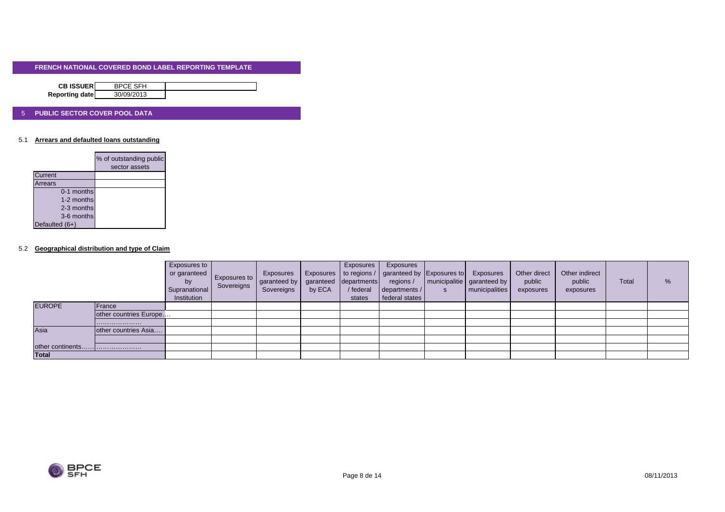| <b>CB ISSUERI</b> | <b>BPCE SFH</b> |  |
|-------------------|-----------------|--|
| Reporting date    | 30/09/2013      |  |

#### 5 **PUBLIC SECTOR COVER POOL DATA**

#### 5.1 **Arrears and defaulted loans outstanding**

|                | % of outstanding public<br>sector assets |
|----------------|------------------------------------------|
|                |                                          |
| <b>Current</b> |                                          |
| Arrears        |                                          |
| 0-1 months     |                                          |
| 1-2 months     |                                          |
| 2-3 months     |                                          |
| 3-6 months     |                                          |
| Defaulted (6+) |                                          |

#### 5.2 **Geographical distribution and type of Claim**

|                  |                        | Exposures to<br>or garanteed<br>by<br>Supranational<br>Institution | Exposures to<br>Sovereigns | Exposures<br>garanteed by<br>Sovereigns | by ECA | Exposures<br>garanteed departments<br>/ federal<br>states | Exposures<br>Exposures   to regions /   garanteed by Exposures to<br>regions /<br>departments /<br>federal states | $\mathbf{s}$ | Exposures<br>  municipalitie   garanteed by<br>municipalities | Other direct<br>public<br>exposures | Other indirect<br>public<br>exposures | <b>Total</b> | % |
|------------------|------------------------|--------------------------------------------------------------------|----------------------------|-----------------------------------------|--------|-----------------------------------------------------------|-------------------------------------------------------------------------------------------------------------------|--------------|---------------------------------------------------------------|-------------------------------------|---------------------------------------|--------------|---|
| <b>EUROPE</b>    | France                 |                                                                    |                            |                                         |        |                                                           |                                                                                                                   |              |                                                               |                                     |                                       |              |   |
|                  | other countries Europe |                                                                    |                            |                                         |        |                                                           |                                                                                                                   |              |                                                               |                                     |                                       |              |   |
|                  |                        |                                                                    |                            |                                         |        |                                                           |                                                                                                                   |              |                                                               |                                     |                                       |              |   |
| Asia             | other countries Asia   |                                                                    |                            |                                         |        |                                                           |                                                                                                                   |              |                                                               |                                     |                                       |              |   |
|                  |                        |                                                                    |                            |                                         |        |                                                           |                                                                                                                   |              |                                                               |                                     |                                       |              |   |
| other continents |                        |                                                                    |                            |                                         |        |                                                           |                                                                                                                   |              |                                                               |                                     |                                       |              |   |
| <b>Total</b>     |                        |                                                                    |                            |                                         |        |                                                           |                                                                                                                   |              |                                                               |                                     |                                       |              |   |

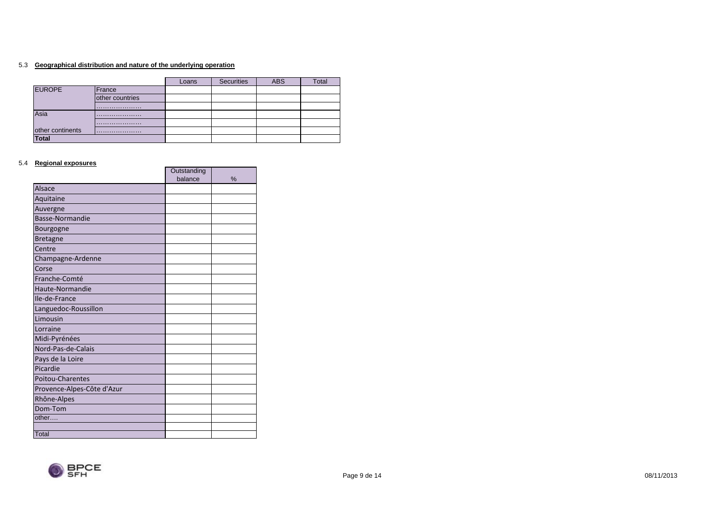#### 5.3 **Geographical distribution and nature of the underlying operation**

|                  |                 | Loans | <b>Securities</b> | <b>ABS</b> | Total |
|------------------|-----------------|-------|-------------------|------------|-------|
| <b>EUROPE</b>    | France          |       |                   |            |       |
|                  | other countries |       |                   |            |       |
|                  |                 |       |                   |            |       |
| Asia             |                 |       |                   |            |       |
|                  |                 |       |                   |            |       |
| other continents |                 |       |                   |            |       |
| Total            |                 |       |                   |            |       |

#### 5.4 **Regional exposures**

|                            | Outstanding |   |
|----------------------------|-------------|---|
|                            | balance     | % |
| <b>Alsace</b>              |             |   |
| Aquitaine                  |             |   |
| Auvergne                   |             |   |
| Basse-Normandie            |             |   |
| Bourgogne                  |             |   |
| <b>Bretagne</b>            |             |   |
| Centre                     |             |   |
| Champagne-Ardenne          |             |   |
| Corse                      |             |   |
| Franche-Comté              |             |   |
| Haute-Normandie            |             |   |
| Ile-de-France              |             |   |
| Languedoc-Roussillon       |             |   |
| Limousin                   |             |   |
| Lorraine                   |             |   |
| Midi-Pyrénées              |             |   |
| Nord-Pas-de-Calais         |             |   |
| Pays de la Loire           |             |   |
| Picardie                   |             |   |
| <b>Poitou-Charentes</b>    |             |   |
| Provence-Alpes-Côte d'Azur |             |   |
| Rhône-Alpes                |             |   |
| Dom-Tom                    |             |   |
| other                      |             |   |
|                            |             |   |
| Total                      |             |   |

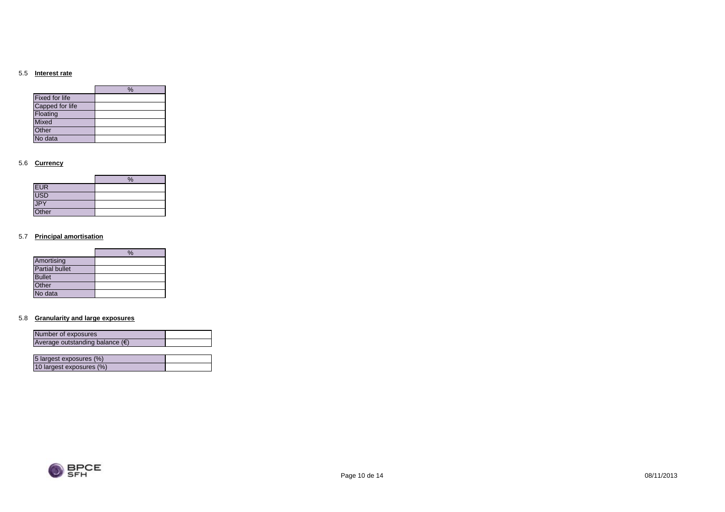#### 5.5 **Interest rate**

|                       | $\%$ |
|-----------------------|------|
| <b>Fixed for life</b> |      |
| Capped for life       |      |
| Floating              |      |
| <b>Mixed</b>          |      |
| Other                 |      |
| No data               |      |

#### 5.6 **Currency**

|            | $\%$ |
|------------|------|
| <b>EUR</b> |      |
| USD        |      |
| JPY        |      |
| Other      |      |

#### 5.7 **Principal amortisation**

|                       | $\frac{0}{6}$ |
|-----------------------|---------------|
| Amortising            |               |
| <b>Partial bullet</b> |               |
| <b>Bullet</b>         |               |
| Other                 |               |
| No data               |               |

#### 5.8 **Granularity and large exposures**

10 largest exposures (%)

| Number of exposures                      |  |
|------------------------------------------|--|
| Average outstanding balance $(\epsilon)$ |  |
|                                          |  |
| 5 largest exposures (%)                  |  |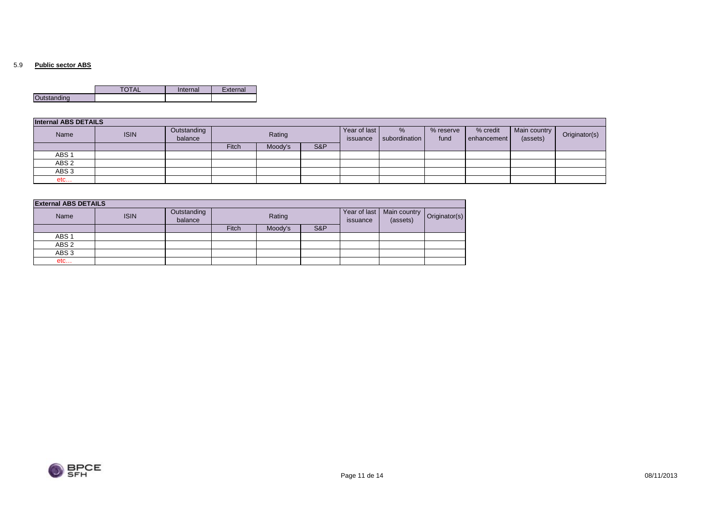#### 5.9 **Public sector ABS**

|             | Internal | External |
|-------------|----------|----------|
| Outstanding |          |          |

| <b>Internal ABS DETAILS</b> |             |                        |        |         |                          |                       |                   |                         |                          |               |  |
|-----------------------------|-------------|------------------------|--------|---------|--------------------------|-----------------------|-------------------|-------------------------|--------------------------|---------------|--|
| Name                        | <b>ISIN</b> | Outstanding<br>balance | Rating |         | Year of last<br>issuance | $\%$<br>subordination | % reserve<br>fund | % credit<br>enhancement | Main country<br>(assets) | Originator(s) |  |
|                             |             |                        | Fitch  | Moody's | S&P                      |                       |                   |                         |                          |               |  |
| ABS <sub>1</sub>            |             |                        |        |         |                          |                       |                   |                         |                          |               |  |
| ABS <sub>2</sub>            |             |                        |        |         |                          |                       |                   |                         |                          |               |  |
| ABS <sub>3</sub>            |             |                        |        |         |                          |                       |                   |                         |                          |               |  |
| etc                         |             |                        |        |         |                          |                       |                   |                         |                          |               |  |

| <b>External ABS DETAILS</b> |             |                        |              |         |     |                          |                                          |  |
|-----------------------------|-------------|------------------------|--------------|---------|-----|--------------------------|------------------------------------------|--|
| Name                        | <b>ISIN</b> | Outstanding<br>balance | Rating       |         |     | Year of last<br>issuance | Main country   Originator(s)<br>(assets) |  |
|                             |             |                        | <b>Fitch</b> | Moody's | S&P |                          |                                          |  |
| ABS <sub>1</sub>            |             |                        |              |         |     |                          |                                          |  |
| ABS <sub>2</sub>            |             |                        |              |         |     |                          |                                          |  |
| ABS <sub>3</sub>            |             |                        |              |         |     |                          |                                          |  |
| etc                         |             |                        |              |         |     |                          |                                          |  |

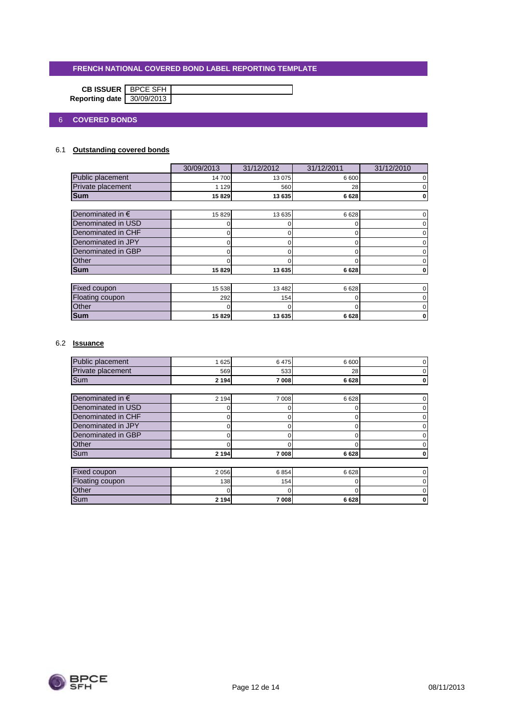|                           | <b>CB ISSUER</b>   BPCE SFH |  |
|---------------------------|-----------------------------|--|
| Reporting date 30/09/2013 |                             |  |

### 6 **COVERED BONDS**

### 6.1 **Outstanding covered bonds**

|                           | 30/09/2013 | 31/12/2012 | 31/12/2011 | 31/12/2010 |  |  |  |  |
|---------------------------|------------|------------|------------|------------|--|--|--|--|
| Public placement          | 14700      | 13 075     | 6 600      |            |  |  |  |  |
| Private placement         | 1 1 2 9    | 560        | 28         |            |  |  |  |  |
| <b>Sum</b>                | 15829      | 13 635     | 6628       |            |  |  |  |  |
|                           |            |            |            |            |  |  |  |  |
| Denominated in $\epsilon$ | 15 8 29    | 13 635     | 6628       |            |  |  |  |  |
| Denominated in USD        |            | 0          |            |            |  |  |  |  |
| Denominated in CHF        |            |            | O          |            |  |  |  |  |
| Denominated in JPY        | 0          | 0          | 0          |            |  |  |  |  |
| Denominated in GBP        |            | O          | O          |            |  |  |  |  |
| Other                     |            |            |            |            |  |  |  |  |
| <b>Sum</b>                | 15829      | 13 635     | 6628       |            |  |  |  |  |
|                           |            |            |            |            |  |  |  |  |
| Fixed coupon              | 15 538     | 13 4 8 2   | 6628       |            |  |  |  |  |
| Floating coupon           | 292        | 154        | O          |            |  |  |  |  |
| Other                     |            | O          | O          |            |  |  |  |  |
| <b>Sum</b>                | 15829      | 13 635     | 6628       | 0          |  |  |  |  |

### 6.2 **Issuance**

| Public placement          | 1 6 2 5 | 6475    | 6 600    |  |
|---------------------------|---------|---------|----------|--|
| Private placement         | 569     | 533     | 28       |  |
| Sum                       | 2 1 9 4 | 7 008   | 6628     |  |
|                           |         |         |          |  |
| Denominated in $\epsilon$ | 2 1 9 4 | 7 0 0 8 | 6628     |  |
| Denominated in USD        |         |         | 0        |  |
| Denominated in CHF        | 0       |         | 0        |  |
| Denominated in JPY        | 0       |         | 0        |  |
| Denominated in GBP        | 0       |         | $\Omega$ |  |
| Other                     |         |         |          |  |
| Sum                       | 2 1 9 4 | 7008    | 6628     |  |
|                           |         |         |          |  |
| <b>Fixed coupon</b>       | 2 0 5 6 | 6854    | 6628     |  |
| Floating coupon           | 138     | 154     | 0        |  |
| Other                     | 0       | 0       | O        |  |
| Sum                       | 2 1 9 4 | 7008    | 6628     |  |

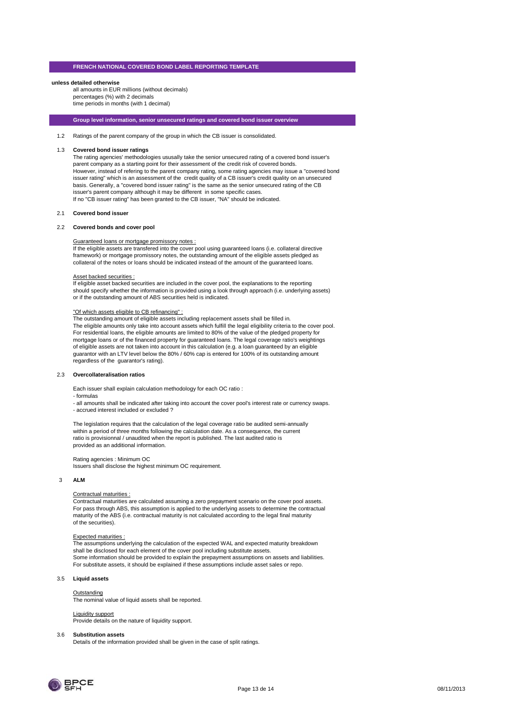#### **unless detailed otherwise**

all amounts in EUR millions (without decimals) percentages (%) with 2 decimals time periods in months (with 1 decimal)

**Group level information, senior unsecured ratings and covered bond issuer overview**

1.2 Ratings of the parent company of the group in which the CB issuer is consolidated.

#### 1.3 **Covered bond issuer ratings**

The rating agencies' methodologies ususally take the senior unsecured rating of a covered bond issuer's parent company as a starting point for their assessment of the credit risk of covered bonds. However, instead of refering to the parent company rating, some rating agencies may issue a "covered bond issuer rating" which is an assessment of the credit quality of a CB issuer's credit quality on an unsecured basis. Generally, a "covered bond issuer rating" is the same as the senior unsecured rating of the CB issuer's parent company although it may be different in some specific cases. If no "CB issuer rating" has been granted to the CB issuer, "NA" should be indicated.

#### 2.1 **Covered bond issuer**

#### 2.2 **Covered bonds and cover pool**

#### Guaranteed loans or mortgage promissory notes :

If the eligible assets are transfered into the cover pool using guaranteed loans (i.e. collateral directive framework) or mortgage promissory notes, the outstanding amount of the eligible assets pledged as collateral of the notes or loans should be indicated instead of the amount of the guaranteed loans.

#### Asset backed securities :

If eligible asset backed securities are included in the cover pool, the explanations to the reporting should specify whether the information is provided using a look through approach (i.e. underlying assets) or if the outstanding amount of ABS securities held is indicated.

#### "Of which assets eligible to CB refinancing" :

The outstanding amount of eligible assets including replacement assets shall be filled in. The eligible amounts only take into account assets which fulfill the legal eligibility criteria to the cover pool. For residential loans, the eligible amounts are limited to 80% of the value of the pledged property for mortgage loans or of the financed property for guaranteed loans. The legal coverage ratio's weightings of eligible assets are not taken into account in this calculation (e.g. a loan guaranteed by an eligible guarantor with an LTV level below the 80% / 60% cap is entered for 100% of its outstanding amount regardless of the guarantor's rating).

#### 2.3 **Overcollateralisation ratios**

Each issuer shall explain calculation methodology for each OC ratio :

- formulas

- all amounts shall be indicated after taking into account the cover pool's interest rate or currency swaps. - accrued interest included or excluded ?

The legislation requires that the calculation of the legal coverage ratio be audited semi-annually within a period of three months following the calculation date. As a consequence, the current ratio is provisionnal / unaudited when the report is published. The last audited ratio is provided as an additional information.

Rating agencies : Minimum OC Issuers shall disclose the highest minimum OC requirement.

#### 3 **ALM**

#### Contractual maturities :

Contractual maturities are calculated assuming a zero prepayment scenario on the cover pool assets. For pass through ABS, this assumption is applied to the underlying assets to determine the contractual maturity of the ABS (i.e. contractual maturity is not calculated according to the legal final maturity of the securities).

#### Expected maturities :

The assumptions underlying the calculation of the expected WAL and expected maturity breakdown shall be disclosed for each element of the cover pool including substitute assets. Some information should be provided to explain the prepayment assumptions on assets and liabilities. For substitute assets, it should be explained if these assumptions include asset sales or repo.

#### 3.5 **Liquid assets**

#### **Outstanding**

**The nominal value of liquid assets shall be reported.** 

#### Liquidity support

Provide details on the nature of liquidity support.

#### 3.6 **Substitution assets**

Details of the information provided shall be given in the case of split ratings.